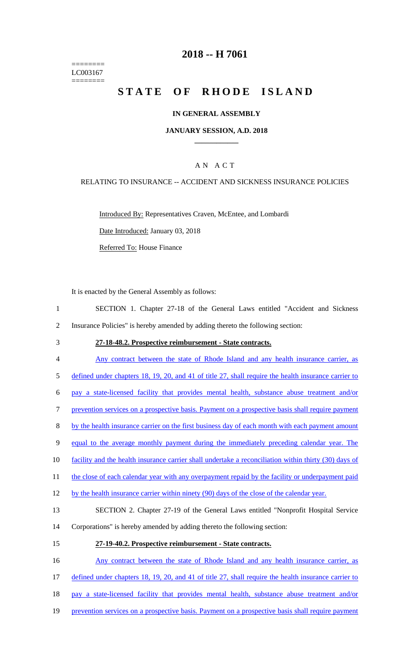======== LC003167 ========

## **2018 -- H 7061**

# STATE OF RHODE ISLAND

#### **IN GENERAL ASSEMBLY**

#### **JANUARY SESSION, A.D. 2018 \_\_\_\_\_\_\_\_\_\_\_\_**

### A N A C T

#### RELATING TO INSURANCE -- ACCIDENT AND SICKNESS INSURANCE POLICIES

Introduced By: Representatives Craven, McEntee, and Lombardi

Date Introduced: January 03, 2018

Referred To: House Finance

It is enacted by the General Assembly as follows:

| SECTION 1. Chapter 27-18 of the General Laws entitled "Accident and Sickness"  |  |  |  |  |  |
|--------------------------------------------------------------------------------|--|--|--|--|--|
| Insurance Policies" is hereby amended by adding thereto the following section: |  |  |  |  |  |

- 3 **27-18-48.2. Prospective reimbursement - State contracts.**
- 4 Any contract between the state of Rhode Island and any health insurance carrier, as 5 defined under chapters 18, 19, 20, and 41 of title 27, shall require the health insurance carrier to 6 pay a state-licensed facility that provides mental health, substance abuse treatment and/or 7 prevention services on a prospective basis. Payment on a prospective basis shall require payment 8 by the health insurance carrier on the first business day of each month with each payment amount 9 equal to the average monthly payment during the immediately preceding calendar year. The 10 facility and the health insurance carrier shall undertake a reconciliation within thirty (30) days of 11 the close of each calendar year with any overpayment repaid by the facility or underpayment paid 12 by the health insurance carrier within ninety (90) days of the close of the calendar year. 13 SECTION 2. Chapter 27-19 of the General Laws entitled "Nonprofit Hospital Service 14 Corporations" is hereby amended by adding thereto the following section: 15 **27-19-40.2. Prospective reimbursement - State contracts.** 16 Any contract between the state of Rhode Island and any health insurance carrier, as 17 defined under chapters 18, 19, 20, and 41 of title 27, shall require the health insurance carrier to
- 18 pay a state-licensed facility that provides mental health, substance abuse treatment and/or
- 19 prevention services on a prospective basis. Payment on a prospective basis shall require payment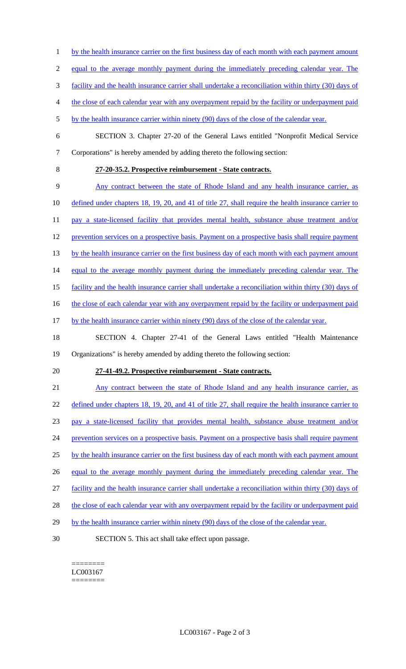- 1 by the health insurance carrier on the first business day of each month with each payment amount
- 2 equal to the average monthly payment during the immediately preceding calendar year. The
- 3 facility and the health insurance carrier shall undertake a reconciliation within thirty (30) days of
- 4 the close of each calendar year with any overpayment repaid by the facility or underpayment paid
- 5 by the health insurance carrier within ninety (90) days of the close of the calendar year.
- 6 SECTION 3. Chapter 27-20 of the General Laws entitled "Nonprofit Medical Service 7 Corporations" is hereby amended by adding thereto the following section:
- 

## 8 **27-20-35.2. Prospective reimbursement - State contracts.**

9 Any contract between the state of Rhode Island and any health insurance carrier, as

10 defined under chapters 18, 19, 20, and 41 of title 27, shall require the health insurance carrier to

- 11 pay a state-licensed facility that provides mental health, substance abuse treatment and/or
- 12 prevention services on a prospective basis. Payment on a prospective basis shall require payment
- 13 by the health insurance carrier on the first business day of each month with each payment amount
- 14 equal to the average monthly payment during the immediately preceding calendar year. The
- 15 facility and the health insurance carrier shall undertake a reconciliation within thirty (30) days of

16 the close of each calendar year with any overpayment repaid by the facility or underpayment paid

- 17 by the health insurance carrier within ninety (90) days of the close of the calendar year.
- 18 SECTION 4. Chapter 27-41 of the General Laws entitled "Health Maintenance 19 Organizations" is hereby amended by adding thereto the following section:
- 

#### 20 **27-41-49.2. Prospective reimbursement - State contracts.**

- 21 Any contract between the state of Rhode Island and any health insurance carrier, as 22 defined under chapters 18, 19, 20, and 41 of title 27, shall require the health insurance carrier to 23 pay a state-licensed facility that provides mental health, substance abuse treatment and/or 24 prevention services on a prospective basis. Payment on a prospective basis shall require payment 25 by the health insurance carrier on the first business day of each month with each payment amount 26 equal to the average monthly payment during the immediately preceding calendar year. The 27 facility and the health insurance carrier shall undertake a reconciliation within thirty (30) days of 28 the close of each calendar year with any overpayment repaid by the facility or underpayment paid 29 by the health insurance carrier within ninety (90) days of the close of the calendar year.
- 30 SECTION 5. This act shall take effect upon passage.
	- ======== LC003167 ========